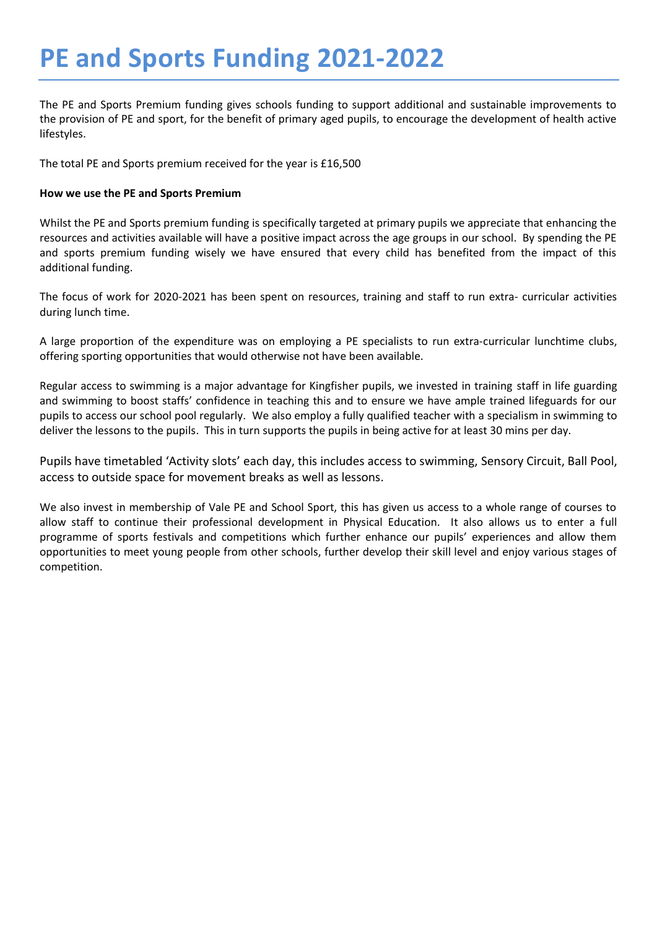# **PE and Sports Funding 2021-2022**

The PE and Sports Premium funding gives schools funding to support additional and sustainable improvements to the provision of PE and sport, for the benefit of primary aged pupils, to encourage the development of health active lifestyles.

The total PE and Sports premium received for the year is £16,500

## **How we use the PE and Sports Premium**

Whilst the PE and Sports premium funding is specifically targeted at primary pupils we appreciate that enhancing the resources and activities available will have a positive impact across the age groups in our school. By spending the PE and sports premium funding wisely we have ensured that every child has benefited from the impact of this additional funding.

The focus of work for 2020-2021 has been spent on resources, training and staff to run extra- curricular activities during lunch time.

A large proportion of the expenditure was on employing a PE specialists to run extra-curricular lunchtime clubs, offering sporting opportunities that would otherwise not have been available.

Regular access to swimming is a major advantage for Kingfisher pupils, we invested in training staff in life guarding and swimming to boost staffs' confidence in teaching this and to ensure we have ample trained lifeguards for our pupils to access our school pool regularly. We also employ a fully qualified teacher with a specialism in swimming to deliver the lessons to the pupils. This in turn supports the pupils in being active for at least 30 mins per day.

Pupils have timetabled 'Activity slots' each day, this includes access to swimming, Sensory Circuit, Ball Pool, access to outside space for movement breaks as well as lessons.

We also invest in membership of Vale PE and School Sport, this has given us access to a whole range of courses to allow staff to continue their professional development in Physical Education. It also allows us to enter a full programme of sports festivals and competitions which further enhance our pupils' experiences and allow them opportunities to meet young people from other schools, further develop their skill level and enjoy various stages of competition.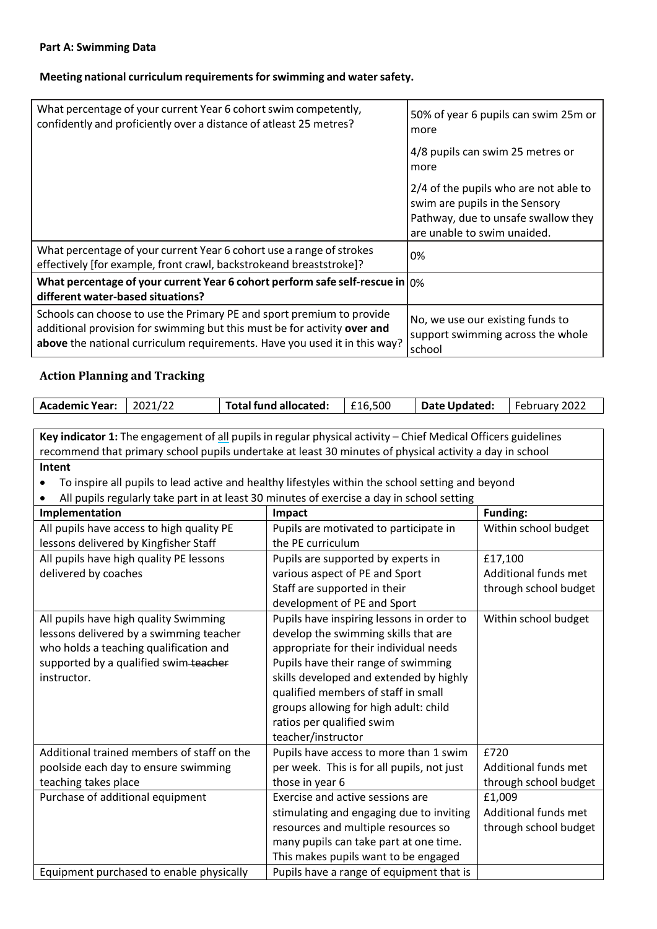#### **Part A: Swimming Data**

### **Meeting national curriculum requirementsforswimming and watersafety.**

| What percentage of your current Year 6 cohort swim competently,<br>confidently and proficiently over a distance of atleast 25 metres?                                                                                          | 50% of year 6 pupils can swim 25m or<br>more                                                                                                  |
|--------------------------------------------------------------------------------------------------------------------------------------------------------------------------------------------------------------------------------|-----------------------------------------------------------------------------------------------------------------------------------------------|
|                                                                                                                                                                                                                                | 4/8 pupils can swim 25 metres or<br>more                                                                                                      |
|                                                                                                                                                                                                                                | 2/4 of the pupils who are not able to<br>swim are pupils in the Sensory<br>Pathway, due to unsafe swallow they<br>are unable to swim unaided. |
| What percentage of your current Year 6 cohort use a range of strokes<br>effectively [for example, front crawl, backstrokeand breaststroke]?                                                                                    | 0%                                                                                                                                            |
| What percentage of your current Year 6 cohort perform safe self-rescue in $ 0\% $<br>different water-based situations?                                                                                                         |                                                                                                                                               |
| Schools can choose to use the Primary PE and sport premium to provide<br>additional provision for swimming but this must be for activity over and<br>above the national curriculum requirements. Have you used it in this way? | No, we use our existing funds to<br>support swimming across the whole<br>school                                                               |

# **Action Planning and Tracking**

| <b>Academic Year:</b> | 2021/22 | Total fund allocated: | £16,500 | Date Updated: | February 2022 |
|-----------------------|---------|-----------------------|---------|---------------|---------------|
|                       |         |                       |         |               |               |

**Key indicator 1:** The engagement of all pupilsin regular physical activity – Chief Medical Officers guidelines recommend that primary school pupils undertake at least 30 minutes of physical activity a day in school **Intent**

• To inspire all pupils to lead active and healthy lifestyles within the school setting and beyond

• All pupils regularly take part in at least 30 minutes of exercise a day in school setting

| Implementation                             | Impact                                     | <b>Funding:</b>       |
|--------------------------------------------|--------------------------------------------|-----------------------|
| All pupils have access to high quality PE  | Pupils are motivated to participate in     | Within school budget  |
| lessons delivered by Kingfisher Staff      | the PE curriculum                          |                       |
| All pupils have high quality PE lessons    | Pupils are supported by experts in         | £17,100               |
| delivered by coaches                       | various aspect of PE and Sport             | Additional funds met  |
|                                            | Staff are supported in their               | through school budget |
|                                            | development of PE and Sport                |                       |
| All pupils have high quality Swimming      | Pupils have inspiring lessons in order to  | Within school budget  |
| lessons delivered by a swimming teacher    | develop the swimming skills that are       |                       |
| who holds a teaching qualification and     | appropriate for their individual needs     |                       |
| supported by a qualified swim-teacher      | Pupils have their range of swimming        |                       |
| instructor.                                | skills developed and extended by highly    |                       |
|                                            | qualified members of staff in small        |                       |
|                                            | groups allowing for high adult: child      |                       |
|                                            | ratios per qualified swim                  |                       |
|                                            | teacher/instructor                         |                       |
| Additional trained members of staff on the | Pupils have access to more than 1 swim     | £720                  |
| poolside each day to ensure swimming       | per week. This is for all pupils, not just | Additional funds met  |
| teaching takes place                       | those in year 6                            | through school budget |
| Purchase of additional equipment           | Exercise and active sessions are           | £1,009                |
|                                            | stimulating and engaging due to inviting   | Additional funds met  |
|                                            | resources and multiple resources so        | through school budget |
|                                            | many pupils can take part at one time.     |                       |
|                                            | This makes pupils want to be engaged       |                       |
| Equipment purchased to enable physically   | Pupils have a range of equipment that is   |                       |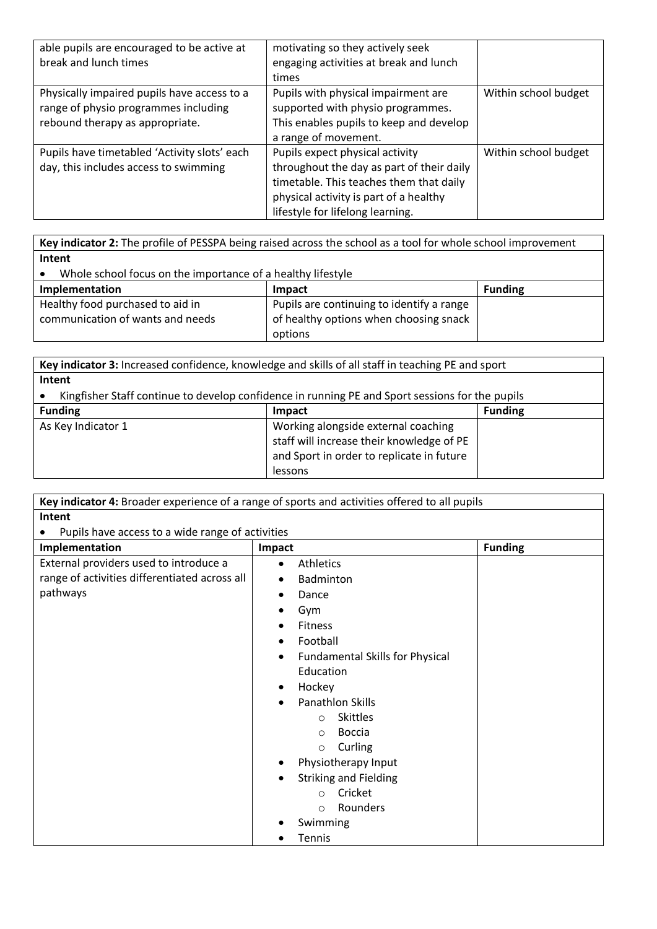| able pupils are encouraged to be active at<br>break and lunch times                                                    | motivating so they actively seek<br>engaging activities at break and lunch<br>times                                                                                                                   |                      |
|------------------------------------------------------------------------------------------------------------------------|-------------------------------------------------------------------------------------------------------------------------------------------------------------------------------------------------------|----------------------|
| Physically impaired pupils have access to a<br>range of physio programmes including<br>rebound therapy as appropriate. | Pupils with physical impairment are<br>supported with physio programmes.<br>This enables pupils to keep and develop<br>a range of movement.                                                           | Within school budget |
| Pupils have timetabled 'Activity slots' each<br>day, this includes access to swimming                                  | Pupils expect physical activity<br>throughout the day as part of their daily<br>timetable. This teaches them that daily<br>physical activity is part of a healthy<br>lifestyle for lifelong learning. | Within school budget |

**Key indicator 2:** The profile of PESSPA being raised across the school as a tool for whole school improvement **Intent**

• Whole school focus on the importance of a healthy lifestyle

| Implementation                   | Impact                                    | <b>Funding</b> |  |
|----------------------------------|-------------------------------------------|----------------|--|
| Healthy food purchased to aid in | Pupils are continuing to identify a range |                |  |
| communication of wants and needs | of healthy options when choosing snack    |                |  |
|                                  | options                                   |                |  |

| Key indicator 3: Increased confidence, knowledge and skills of all staff in teaching PE and sport |                                           |                |
|---------------------------------------------------------------------------------------------------|-------------------------------------------|----------------|
| Intent                                                                                            |                                           |                |
| Kingfisher Staff continue to develop confidence in running PE and Sport sessions for the pupils   |                                           |                |
| <b>Funding</b>                                                                                    | Impact                                    | <b>Funding</b> |
| As Key Indicator 1                                                                                | Working alongside external coaching       |                |
|                                                                                                   | staff will increase their knowledge of PE |                |
|                                                                                                   | and Sport in order to replicate in future |                |
|                                                                                                   | lessons                                   |                |

| Key indicator 4: Broader experience of a range of sports and activities offered to all pupils |                                                     |                |  |
|-----------------------------------------------------------------------------------------------|-----------------------------------------------------|----------------|--|
| Intent                                                                                        |                                                     |                |  |
| Pupils have access to a wide range of activities                                              |                                                     |                |  |
| Implementation                                                                                | Impact                                              | <b>Funding</b> |  |
| External providers used to introduce a                                                        | <b>Athletics</b><br>$\bullet$                       |                |  |
| range of activities differentiated across all                                                 | Badminton<br>$\bullet$                              |                |  |
| pathways                                                                                      | Dance<br>$\bullet$                                  |                |  |
|                                                                                               | Gym<br>$\bullet$                                    |                |  |
|                                                                                               | <b>Fitness</b>                                      |                |  |
|                                                                                               | Football<br>$\bullet$                               |                |  |
|                                                                                               | <b>Fundamental Skills for Physical</b><br>$\bullet$ |                |  |
|                                                                                               | Education                                           |                |  |
|                                                                                               | Hockey<br>$\bullet$                                 |                |  |
|                                                                                               | Panathlon Skills<br>$\bullet$                       |                |  |
|                                                                                               | <b>Skittles</b><br>$\circ$                          |                |  |
|                                                                                               | <b>Boccia</b><br>$\bigcirc$                         |                |  |
|                                                                                               | Curling<br>$\circ$                                  |                |  |
|                                                                                               | Physiotherapy Input                                 |                |  |
|                                                                                               | <b>Striking and Fielding</b><br>$\bullet$           |                |  |
|                                                                                               | Cricket<br>$\Omega$                                 |                |  |
|                                                                                               | Rounders<br>$\circ$                                 |                |  |
|                                                                                               | Swimming                                            |                |  |
|                                                                                               | <b>Tennis</b>                                       |                |  |